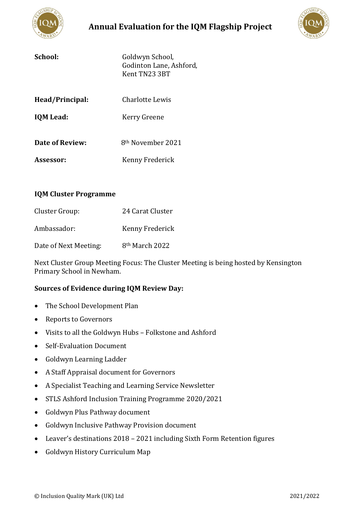

# **Annual Evaluation for the IQM Flagship Project**



| School:          | Goldwyn School,<br>Godinton Lane, Ashford,<br>Kent TN23 3BT |
|------------------|-------------------------------------------------------------|
| Head/Principal:  | Charlotte Lewis                                             |
| <b>IQM Lead:</b> | Kerry Greene                                                |
|                  |                                                             |

**Date of Review:** 8<sup>th</sup> November 2021 Assessor: Kenny Frederick

## **IQM Cluster Programme**

| Cluster Group:        | 24 Carat Cluster           |
|-----------------------|----------------------------|
| Ambassador:           | Kenny Frederick            |
| Date of Next Meeting: | 8 <sup>th</sup> March 2022 |

Next Cluster Group Meeting Focus: The Cluster Meeting is being hosted by Kensington Primary School in Newham.

## **Sources of Evidence during IQM Review Day:**

- The School Development Plan
- Reports to Governors
- Visits to all the Goldwyn Hubs Folkstone and Ashford
- Self-Evaluation Document
- Goldwyn Learning Ladder
- A Staff Appraisal document for Governors
- A Specialist Teaching and Learning Service Newsletter
- STLS Ashford Inclusion Training Programme 2020/2021
- Goldwyn Plus Pathway document
- Goldwyn Inclusive Pathway Provision document
- Leaver's destinations 2018 2021 including Sixth Form Retention figures
- Goldwyn History Curriculum Map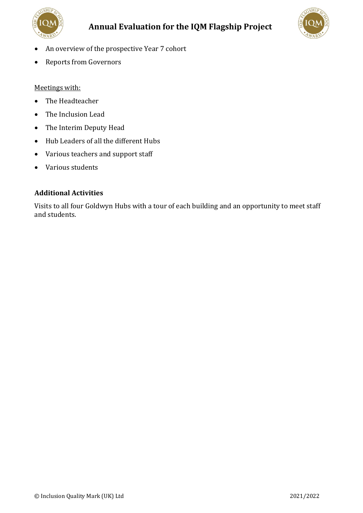



- An overview of the prospective Year 7 cohort
- Reports from Governors

## Meetings with:

- The Headteacher
- The Inclusion Lead
- The Interim Deputy Head
- Hub Leaders of all the different Hubs
- Various teachers and support staff
- Various students

## **Additional Activities**

Visits to all four Goldwyn Hubs with a tour of each building and an opportunity to meet staff and students.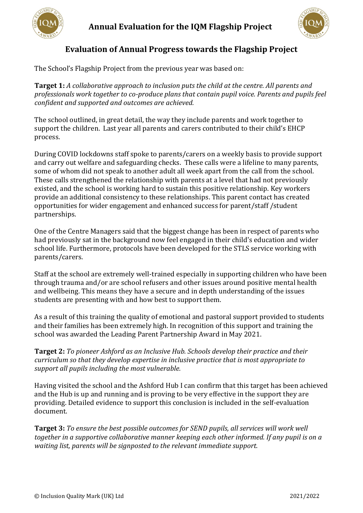



## **Evaluation of Annual Progress towards the Flagship Project**

The School's Flagship Project from the previous year was based on:

**Target 1:** *A collaborative approach to inclusion puts the child at the centre. All parents and professionals work together to co-produce plans that contain pupil voice. Parents and pupils feel confident and supported and outcomes are achieved.* 

The school outlined, in great detail, the way they include parents and work together to support the children. Last year all parents and carers contributed to their child's EHCP process.

During COVID lockdowns staff spoke to parents/carers on a weekly basis to provide support and carry out welfare and safeguarding checks. These calls were a lifeline to many parents, some of whom did not speak to another adult all week apart from the call from the school. These calls strengthened the relationship with parents at a level that had not previously existed, and the school is working hard to sustain this positive relationship. Key workers provide an additional consistency to these relationships. This parent contact has created opportunities for wider engagement and enhanced success for parent/staff /student partnerships.

One of the Centre Managers said that the biggest change has been in respect of parents who had previously sat in the background now feel engaged in their child's education and wider school life. Furthermore, protocols have been developed for the STLS service working with parents/carers.

Staff at the school are extremely well-trained especially in supporting children who have been through trauma and/or are school refusers and other issues around positive mental health and wellbeing. This means they have a secure and in depth understanding of the issues students are presenting with and how best to support them.

As a result of this training the quality of emotional and pastoral support provided to students and their families has been extremely high. In recognition of this support and training the school was awarded the Leading Parent Partnership Award in May 2021.

**Target 2:** *To pioneer Ashford as an Inclusive Hub. Schools develop their practice and their curriculum so that they develop expertise in inclusive practice that is most appropriate to support all pupils including the most vulnerable.*

Having visited the school and the Ashford Hub I can confirm that this target has been achieved and the Hub is up and running and is proving to be very effective in the support they are providing. Detailed evidence to support this conclusion is included in the self-evaluation document.

**Target 3:** *To ensure the best possible outcomes for SEND pupils, all services will work well together in a supportive collaborative manner keeping each other informed. If any pupil is on a waiting list, parents will be signposted to the relevant immediate support.*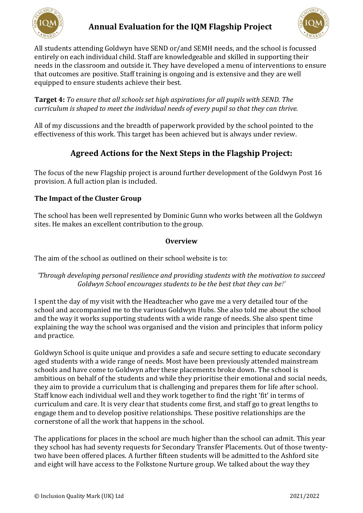



All students attending Goldwyn have SEND or/and SEMH needs, and the school is focussed entirely on each individual child. Staff are knowledgeable and skilled in supporting their needs in the classroom and outside it. They have developed a menu of interventions to ensure that outcomes are positive. Staff training is ongoing and is extensive and they are well equipped to ensure students achieve their best.

**Target 4:** *To ensure that all schools set high aspirations for all pupils with SEND. The curriculum is shaped to meet the individual needs of every pupil so that they can thrive.*

All of my discussions and the breadth of paperwork provided by the school pointed to the effectiveness of this work. This target has been achieved but is always under review.

# **Agreed Actions for the Next Steps in the Flagship Project:**

The focus of the new Flagship project is around further development of the Goldwyn Post 16 provision. A full action plan is included.

## **The Impact of the Cluster Group**

The school has been well represented by Dominic Gunn who works between all the Goldwyn sites. He makes an excellent contribution to the group.

## **Overview**

The aim of the school as outlined on their school website is to:

## *'Through developing personal resilience and providing students with the motivation to succeed Goldwyn School encourages students to be the best that they can be!'*

I spent the day of my visit with the Headteacher who gave me a very detailed tour of the school and accompanied me to the various Goldwyn Hubs. She also told me about the school and the way it works supporting students with a wide range of needs. She also spent time explaining the way the school was organised and the vision and principles that inform policy and practice.

Goldwyn School is quite unique and provides a safe and secure setting to educate secondary aged students with a wide range of needs. Most have been previously attended mainstream schools and have come to Goldwyn after these placements broke down. The school is ambitious on behalf of the students and while they prioritise their emotional and social needs, they aim to provide a curriculum that is challenging and prepares them for life after school. Staff know each individual well and they work together to find the right 'fit' in terms of curriculum and care. It is very clear that students come first, and staff go to great lengths to engage them and to develop positive relationships. These positive relationships are the cornerstone of all the work that happens in the school.

The applications for places in the school are much higher than the school can admit. This year they school has had seventy requests for Secondary Transfer Placements. Out of those twentytwo have been offered places. A further fifteen students will be admitted to the Ashford site and eight will have access to the Folkstone Nurture group. We talked about the way they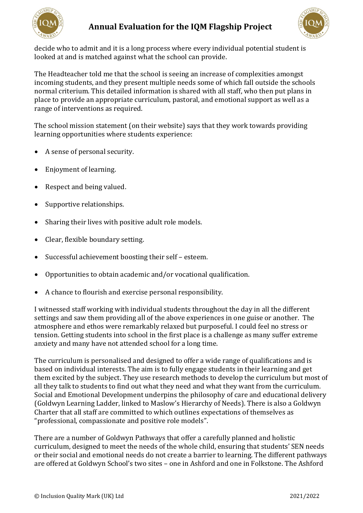

# **Annual Evaluation for the IQM Flagship Project**



decide who to admit and it is a long process where every individual potential student is looked at and is matched against what the school can provide.

The Headteacher told me that the school is seeing an increase of complexities amongst incoming students, and they present multiple needs some of which fall outside the schools normal criterium. This detailed information is shared with all staff, who then put plans in place to provide an appropriate curriculum, pastoral, and emotional support as well as a range of interventions as required.

The school mission statement (on their website) says that they work towards providing learning opportunities where students experience:

- A sense of personal security.
- Enjoyment of learning.
- Respect and being valued.
- Supportive relationships.
- Sharing their lives with positive adult role models.
- Clear, flexible boundary setting.
- Successful achievement boosting their self esteem.
- Opportunities to obtain academic and/or vocational qualification.
- A chance to flourish and exercise personal responsibility.

I witnessed staff working with individual students throughout the day in all the different settings and saw them providing all of the above experiences in one guise or another. The atmosphere and ethos were remarkably relaxed but purposeful. I could feel no stress or tension. Getting students into school in the first place is a challenge as many suffer extreme anxiety and many have not attended school for a long time.

The curriculum is personalised and designed to offer a wide range of qualifications and is based on individual interests. The aim is to fully engage students in their learning and get them excited by the subject. They use research methods to develop the curriculum but most of all they talk to students to find out what they need and what they want from the curriculum. Social and Emotional Development underpins the philosophy of care and educational delivery (Goldwyn Learning Ladder, linked to Maslow's Hierarchy of Needs). There is also a Goldwyn Charter that all staff are committed to which outlines expectations of themselves as "professional, compassionate and positive role models".

There are a number of Goldwyn Pathways that offer a carefully planned and holistic curriculum, designed to meet the needs of the whole child, ensuring that students' SEN needs or their social and emotional needs do not create a barrier to learning. The different pathways are offered at Goldwyn School's two sites – one in Ashford and one in Folkstone. The Ashford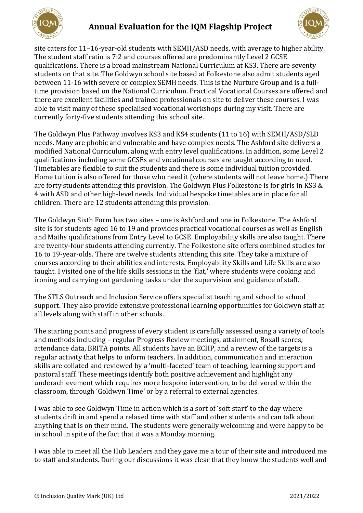



site caters for 11–16-year-old students with SEMH/ASD needs, with average to higher ability. The student staff ratio is 7:2 and courses offered are predominantly Level 2 GCSE qualifications. There is a broad mainstream National Curriculum at KS3. There are seventy students on that site. The Goldwyn school site based at Folkestone also admit students aged between 11-16 with severe or complex SEMH needs. This is the Nurture Group and is a fulltime provision based on the National Curriculum. Practical Vocational Courses are offered and there are excellent facilities and trained professionals on site to deliver these courses. I was able to visit many of these specialised vocational workshops during my visit. There are currently forty-five students attending this school site.

The Goldwyn Plus Pathway involves KS3 and KS4 students (11 to 16) with SEMH/ASD/SLD needs. Many are phobic and vulnerable and have complex needs. The Ashford site delivers a modified National Curriculum, along with entry level qualifications. In addition, some Level 2 qualifications including some GCSEs and vocational courses are taught according to need. Timetables are flexible to suit the students and there is some individual tuition provided. Home tuition is also offered for those who need it (where students will not leave home.) There are forty students attending this provision. The Goldwyn Plus Folkestone is for girls in KS3 & 4 with ASD and other high-level needs. Individual bespoke timetables are in place for all children. There are 12 students attending this provision.

The Goldwyn Sixth Form has two sites – one is Ashford and one in Folkestone. The Ashford site is for students aged 16 to 19 and provides practical vocational courses as well as English and Maths qualifications from Entry Level to GCSE. Employability skills are also taught. There are twenty-four students attending currently. The Folkestone site offers combined studies for 16 to 19-year-olds. There are twelve students attending this site. They take a mixture of courses according to their abilities and interests. Employability Skills and Life Skills are also taught. I visited one of the life skills sessions in the 'flat,' where students were cooking and ironing and carrying out gardening tasks under the supervision and guidance of staff.

The STLS Outreach and Inclusion Service offers specialist teaching and school to school support. They also provide extensive professional learning opportunities for Goldwyn staff at all levels along with staff in other schools.

The starting points and progress of every student is carefully assessed using a variety of tools and methods including – regular Progress Review meetings, attainment, Boxall scores, attendance data, BRITA points. All students have an ECHP, and a review of the targets is a regular activity that helps to inform teachers. In addition, communication and interaction skills are collated and reviewed by a 'multi-faceted' team of teaching, learning support and pastoral staff. These meetings identify both positive achievement and highlight any underachievement which requires more bespoke intervention, to be delivered within the classroom, through 'Goldwyn Time' or by a referral to external agencies.

I was able to see Goldwyn Time in action which is a sort of 'soft start' to the day where students drift in and spend a relaxed time with staff and other students and can talk about anything that is on their mind. The students were generally welcoming and were happy to be in school in spite of the fact that it was a Monday morning.

I was able to meet all the Hub Leaders and they gave me a tour of their site and introduced me to staff and students. During our discussions it was clear that they know the students well and